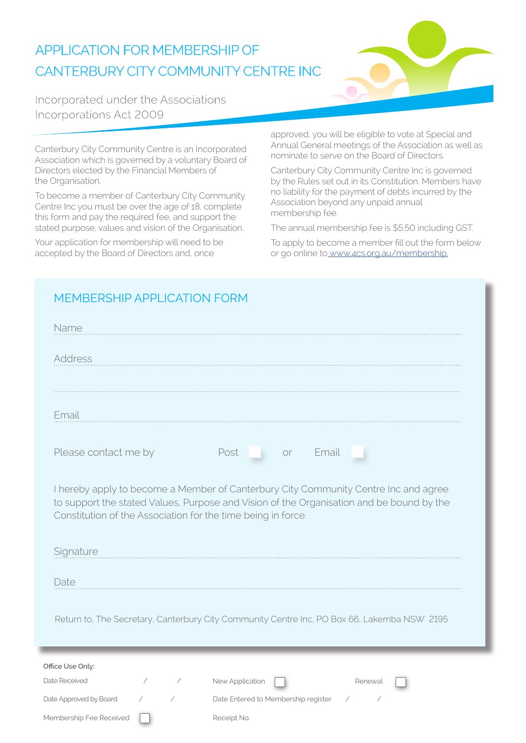### **APPLICATION FOR MEMBERSHIP OF** CANTERBURY CITY COMMUNITY CENTRE INC



Incorporated under the Associations Incorporations Act 2009

Canterbury City Community Centre is an Incorporated Association which is governed by a voluntary Board of Directors elected by the Financial Members of the Organisation.

To become a member of Canterbury City Community Centre Inc you must be over the age of 18, complete this form and pay the required fee, and support the stated purpose, values and vision of the Organisation.

Your application for membership will need to be accepted by the Board of Directors and, once

approved, you will be eligible to vote at Special and Annual General meetings of the Association as well as nominate to serve on the Board of Directors.

Canterbury City Community Centre Inc is governed by the Rules set out in its Constitution. Members have no liability for the payment of debts incurred by the Association beyond any unpaid annual membership fee.

The annual membership fee is \$5.50 including GST.

To apply to become a member fill out the form below or go online to www.4cs.org.au/membership.

#### MEMBERSHIP APPLICATION FORM

| Name                                                                                                                                                                                                                                            |
|-------------------------------------------------------------------------------------------------------------------------------------------------------------------------------------------------------------------------------------------------|
| Address                                                                                                                                                                                                                                         |
| Email                                                                                                                                                                                                                                           |
| Please contact me by<br>Post<br>Email<br><b>Or</b>                                                                                                                                                                                              |
| I hereby apply to become a Member of Canterbury City Community Centre Inc and agree<br>to support the stated Values, Purpose and Vision of the Organisation and be bound by the<br>Constitution of the Association for the time being in force. |
| Signature                                                                                                                                                                                                                                       |
| Date                                                                                                                                                                                                                                            |
| Return to, The Secretary, Canterbury City Community Centre Inc, PO Box 66, Lakemba NSW 2195                                                                                                                                                     |
| Office Use Only:                                                                                                                                                                                                                                |
| Date Received<br>New Application<br>$\overline{\phantom{a}}$<br>Renewal<br>Date Entered to Membership register<br>Date Approved by Board<br>$\sqrt{2}$<br>$\overline{\phantom{a}}$                                                              |
| Membership Fee Received<br>Receipt No.                                                                                                                                                                                                          |
|                                                                                                                                                                                                                                                 |